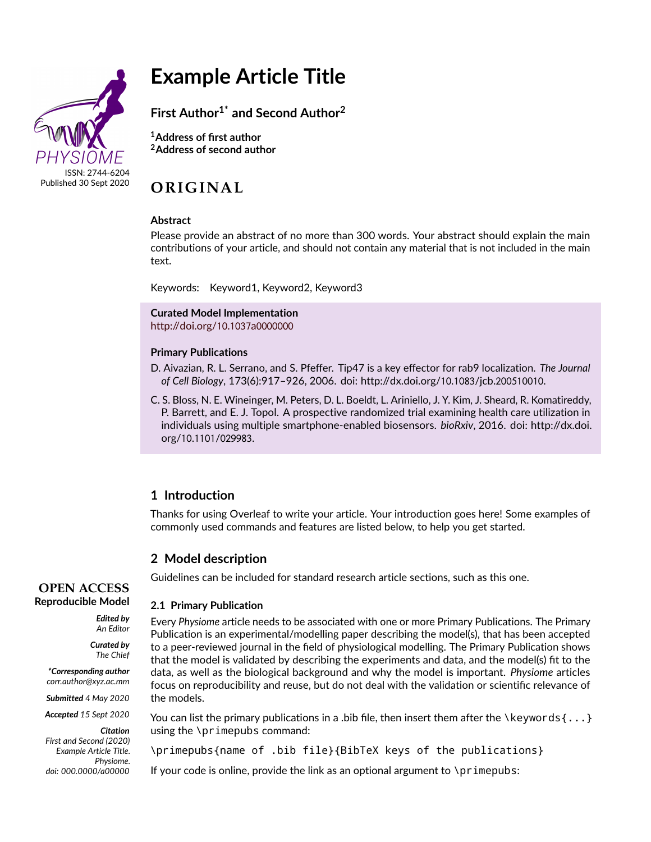

# **Example Article Title**

**First Author1\* and Second Author<sup>2</sup>**

**<sup>1</sup>Address of first author <sup>2</sup>Address of second author**

# **OR IG INAL**

#### **Abstract**

Please provide an abstract of no more than 300 words. Your abstract should explain the main contributions of your article, and should not contain any material that is not included in the main text.

Keywords: Keyword1, Keyword2, Keyword3

**Curated Model Implementation** [http://doi.org/](http://doi.org/10.1037a0000000)10.1037a0000000

#### **Primary Publications**

- D. Aivazian, R. L. Serrano, and S. Pfeffer. Tip47 is a key effector for rab9 localization. *The Journal of Cell Biology*, 173(6):917–926, 2006. doi: http://dx.doi.org/10.1083/jcb.200510010.
- C. S. Bloss, N. E. Wineinger, M. Peters, D. L. Boeldt, L. Ariniello, J. Y. Kim, J. Sheard, R. Komatireddy, P. Barrett, and E. J. Topol. A prospective randomized trial examining health care utilization in individuals using multiple smartphone-enabled biosensors. *bioRxiv*, 2016. doi: http://dx.doi. org/10.1101/029983.

# **1 Introduction**

Thanks for using Overleaf to write your article. Your introduction goes here! Some examples of commonly used commands and features are listed below, to help you get started.

# **2 Model description**

Guidelines can be included for standard research article sections, such as this one.

#### **2.1 Primary Publication**

Every *Physiome* article needs to be associated with one or more Primary Publications. The Primary Publication is an experimental/modelling paper describing the model(s), that has been accepted to a peer-reviewed journal in the field of physiological modelling. The Primary Publication shows that the model is validated by describing the experiments and data, and the model(s) fit to the data, as well as the biological background and why the model is important. *Physiome* articles focus on reproducibility and reuse, but do not deal with the validation or scientific relevance of the models.

You can list the primary publications in a .bib file, then insert them after the \keywords  $\{ \ldots \}$ using the \primepubs command:

\primepubs{name of .bib file}{BibTeX keys of the publications}

If your code is online, provide the link as an optional argument to  $\pi$ imepubs:

### **OPEN ACCESS Reproducible Model**

*Edited by An Editor*

> *Curated by The Chief*

*\*Corresponding author corr.author@xyz.ac.mm*

*Submitted 4 May 2020*

*Accepted 15 Sept 2020*

*Citation First and Second (2020) Example Article Title. Physiome. doi: 000.0000/a00000*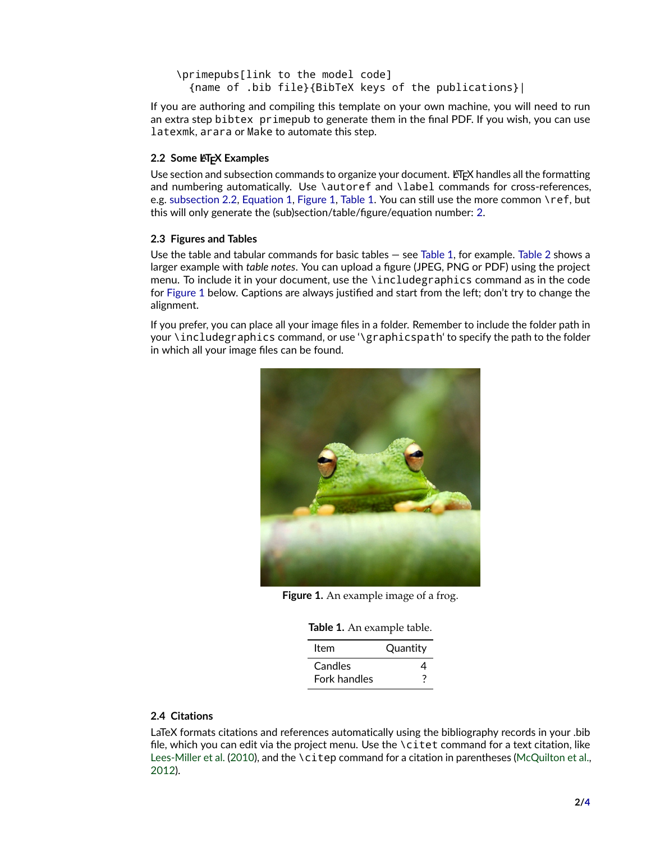```
\primepubs[link to the model code]
{name of .bib file}{BibTeX keys of the publications}|
```
If you are authoring and compiling this template on your own machine, you will need to run an extra step bibtex primepub to generate them in the final PDF. If you wish, you can use latexmk, arara or Make to automate this step.

# <span id="page-1-0"></span>**2.2 Some LATEX Examples**

Use section and subsection commands to organize your document. ET<sub>F</sub>X handles all the formatting and numbering automatically. Use \autoref and \label commands for cross-references, e.g. [subsection 2.2,](#page-1-0) [Equation 1,](#page-2-0) [Figure 1,](#page-1-1) [Table 1.](#page-1-2) You can still use the more common \ref, but this will only generate the (sub)section/table/figure/equation number: [2.](#page-2-1)

### **2.3 Figures and Tables**

Use the table and tabular commands for basic tables — see [Table 1,](#page-1-2) for example. [Table 2](#page-2-1) shows a larger example with *table notes*. You can upload a figure (JPEG, PNG or PDF) using the project menu. To include it in your document, use the \includegraphics command as in the code for [Figure 1](#page-1-1) below. Captions are always justified and start from the left; don't try to change the alignment.

<span id="page-1-1"></span>If you prefer, you can place all your image files in a folder. Remember to include the folder path in your \includegraphics command, or use '\graphicspath' to specify the path to the folder in which all your image files can be found.



**Figure 1.** An example image of a frog.

|  |  |  | Table 1. An example table. |  |  |  |
|--|--|--|----------------------------|--|--|--|
|--|--|--|----------------------------|--|--|--|

| Item         | Quantity |  |  |
|--------------|----------|--|--|
| Candles      | Δ        |  |  |
| Fork handles |          |  |  |

### <span id="page-1-2"></span>**2.4 Citations**

LaTeX formats citations and references automatically using the bibliography records in your .bib file, which you can edit via the project menu. Use the \citet command for a text citation, like [Lees-Miller et al.](#page-2-2) [\(2010\)](#page-2-2), and the \citep command for a citation in parentheses [\(McQuilton et al.,](#page-3-0) [2012\)](#page-3-0).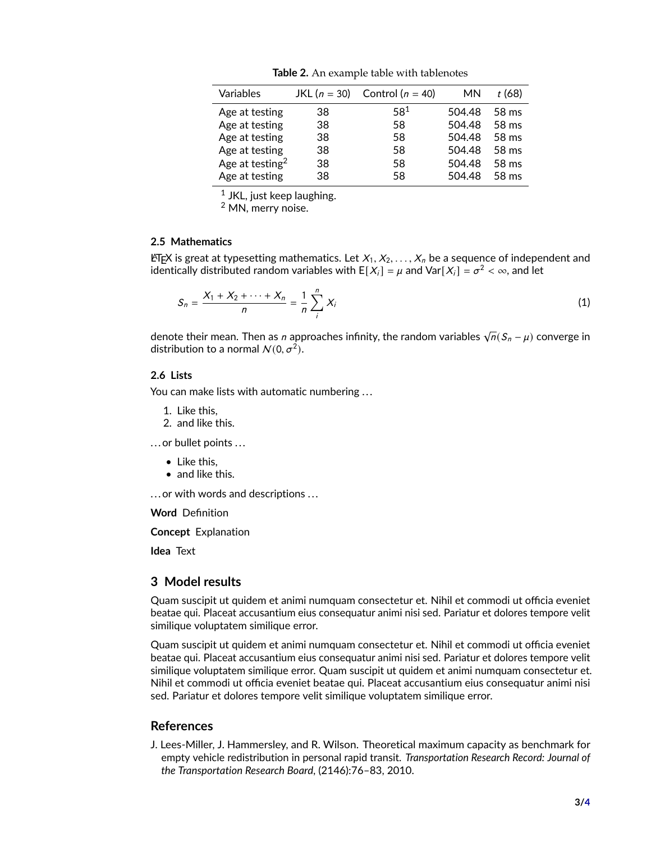<span id="page-2-1"></span>

| Variables                   | JKL $(n = 30)$ | Control ( $n = 40$ ) | MN     | t (68)          |
|-----------------------------|----------------|----------------------|--------|-----------------|
| Age at testing              | 38             | $58^{1}$             | 504.48 | 58 ms           |
| Age at testing              | 38             | 58                   | 504.48 | 58 ms           |
| Age at testing              | 38             | 58                   | 504.48 | $58 \text{ ms}$ |
| Age at testing              | 38             | 58                   | 504.48 | 58 ms           |
| Age at testing <sup>2</sup> | 38             | 58                   | 504.48 | 58 ms           |
| Age at testing              | 38.            | 58                   | 504.48 | 58 ms           |

**Table 2.** An example table with tablenotes

 $^{\rm 1}$  JKL, just keep laughing.

<span id="page-2-0"></span><sup>2</sup> MN, merry noise.

#### **2.5 Mathematics**

LATEX is great at typesetting mathematics. Let  $X_1, X_2, \ldots, X_n$  be a sequence of independent and identically distributed random variables with  $E[X_i] = \mu$  and  $\text{Var}[X_i] = \sigma^2 < \infty$ , and let

$$
S_n = \frac{X_1 + X_2 + \dots + X_n}{n} = \frac{1}{n} \sum_{i}^{n} X_i
$$
 (1)

denote their mean. Then as  $n$  approaches infinity, the random variables  $\sqrt{n}(\mathcal{S}_n-\mu)$  converge in distribution to a normal  $\mathcal{N}(0, \sigma^2)$ .

#### **2.6 Lists**

You can make lists with automatic numbering ...

- 1. Like this,
- 2. and like this.

.. . or bullet points ...

- Like this,
- and like this.

... or with words and descriptions ...

**Word** Definition

**Concept** Explanation

**Idea** Text

### **3 Model results**

Quam suscipit ut quidem et animi numquam consectetur et. Nihil et commodi ut officia eveniet beatae qui. Placeat accusantium eius consequatur animi nisi sed. Pariatur et dolores tempore velit similique voluptatem similique error.

Quam suscipit ut quidem et animi numquam consectetur et. Nihil et commodi ut officia eveniet beatae qui. Placeat accusantium eius consequatur animi nisi sed. Pariatur et dolores tempore velit similique voluptatem similique error. Quam suscipit ut quidem et animi numquam consectetur et. Nihil et commodi ut officia eveniet beatae qui. Placeat accusantium eius consequatur animi nisi sed. Pariatur et dolores tempore velit similique voluptatem similique error.

## **References**

<span id="page-2-2"></span>J. Lees-Miller, J. Hammersley, and R. Wilson. Theoretical maximum capacity as benchmark for empty vehicle redistribution in personal rapid transit. *Transportation Research Record: Journal of the Transportation Research Board*, (2146):76–83, 2010.